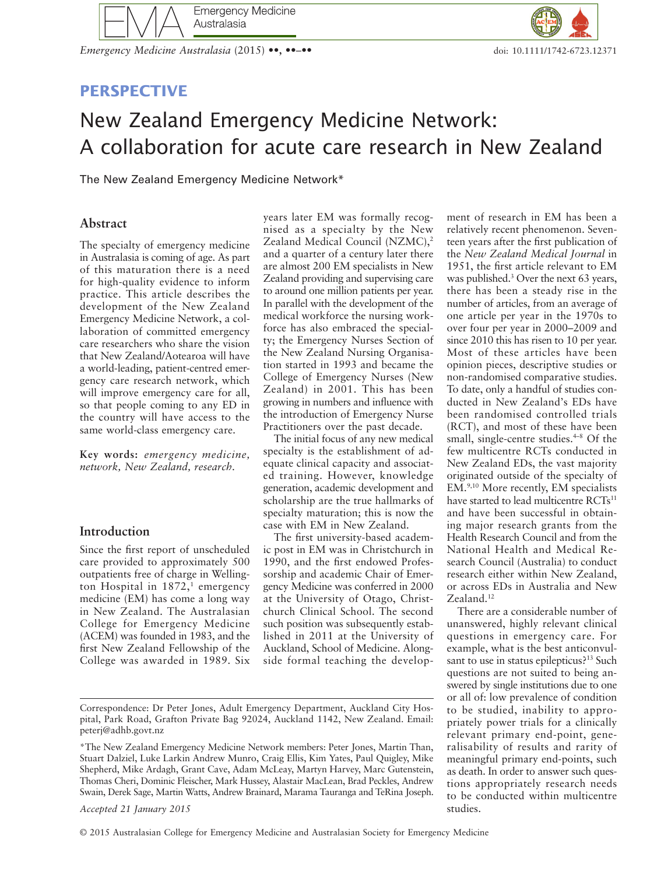

*Emergency Medicine Australasia* (2015) **••,** ••–•• doi: 10.1111/1742-6723.12371

## **PERSPECTIVE**



# New Zealand Emergency Medicine Network: A collaboration for acute care research in New Zealand

The New Zealand Emergency Medicine Network\*

## **Abstract**

The specialty of emergency medicine in Australasia is coming of age. As part of this maturation there is a need for high-quality evidence to inform practice. This article describes the development of the New Zealand Emergency Medicine Network, a collaboration of committed emergency care researchers who share the vision that New Zealand/Aotearoa will have a world-leading, patient-centred emergency care research network, which will improve emergency care for all, so that people coming to any ED in the country will have access to the same world-class emergency care.

**Key words:** *emergency medicine, network, New Zealand, research.*

## **Introduction**

Since the first report of unscheduled care provided to approximately 500 outpatients free of charge in Wellington Hospital in  $1872$ ,<sup>1</sup> emergency medicine (EM) has come a long way in New Zealand. The Australasian College for Emergency Medicine (ACEM) was founded in 1983, and the first New Zealand Fellowship of the College was awarded in 1989. Six

years later EM was formally recognised as a specialty by the New Zealand Medical Council (NZMC).<sup>2</sup> and a quarter of a century later there are almost 200 EM specialists in New Zealand providing and supervising care to around one million patients per year. In parallel with the development of the medical workforce the nursing workforce has also embraced the specialty; the Emergency Nurses Section of the New Zealand Nursing Organisation started in 1993 and became the College of Emergency Nurses (New Zealand) in 2001. This has been growing in numbers and influence with the introduction of Emergency Nurse Practitioners over the past decade.

The initial focus of any new medical specialty is the establishment of adequate clinical capacity and associated training. However, knowledge generation, academic development and scholarship are the true hallmarks of specialty maturation; this is now the case with EM in New Zealand.

The first university-based academic post in EM was in Christchurch in 1990, and the first endowed Professorship and academic Chair of Emergency Medicine was conferred in 2000 at the University of Otago, Christchurch Clinical School. The second such position was subsequently established in 2011 at the University of Auckland, School of Medicine. Alongside formal teaching the development of research in EM has been a relatively recent phenomenon. Seventeen years after the first publication of the *New Zealand Medical Journal* in 1951, the first article relevant to EM was published.<sup>3</sup> Over the next 63 years, there has been a steady rise in the number of articles, from an average of one article per year in the 1970s to over four per year in 2000–2009 and since 2010 this has risen to 10 per year. Most of these articles have been opinion pieces, descriptive studies or non-randomised comparative studies. To date, only a handful of studies conducted in New Zealand's EDs have been randomised controlled trials (RCT), and most of these have been small, single-centre studies.<sup>4-8</sup> Of the few multicentre RCTs conducted in New Zealand EDs, the vast majority originated outside of the specialty of EM.9,10 More recently, EM specialists have started to lead multicentre RCTs<sup>11</sup> and have been successful in obtaining major research grants from the Health Research Council and from the National Health and Medical Research Council (Australia) to conduct research either within New Zealand, or across EDs in Australia and New Zealand.12

There are a considerable number of unanswered, highly relevant clinical questions in emergency care. For example, what is the best anticonvulsant to use in status epilepticus?<sup>13</sup> Such questions are not suited to being answered by single institutions due to one or all of: low prevalence of condition to be studied, inability to appropriately power trials for a clinically relevant primary end-point, generalisability of results and rarity of meaningful primary end-points, such as death. In order to answer such questions appropriately research needs to be conducted within multicentre studies.

*Accepted 21 January 2015*

Correspondence: Dr Peter Jones, Adult Emergency Department, Auckland City Hospital, Park Road, Grafton Private Bag 92024, Auckland 1142, New Zealand. Email: peterj@adhb.govt.nz

<sup>\*</sup>The New Zealand Emergency Medicine Network members: Peter Jones, Martin Than, Stuart Dalziel, Luke Larkin Andrew Munro, Craig Ellis, Kim Yates, Paul Quigley, Mike Shepherd, Mike Ardagh, Grant Cave, Adam McLeay, Martyn Harvey, Marc Gutenstein, Thomas Cheri, Dominic Fleischer, Mark Hussey, Alastair MacLean, Brad Peckles, Andrew Swain, Derek Sage, Martin Watts, Andrew Brainard, Marama Tauranga and TeRina Joseph.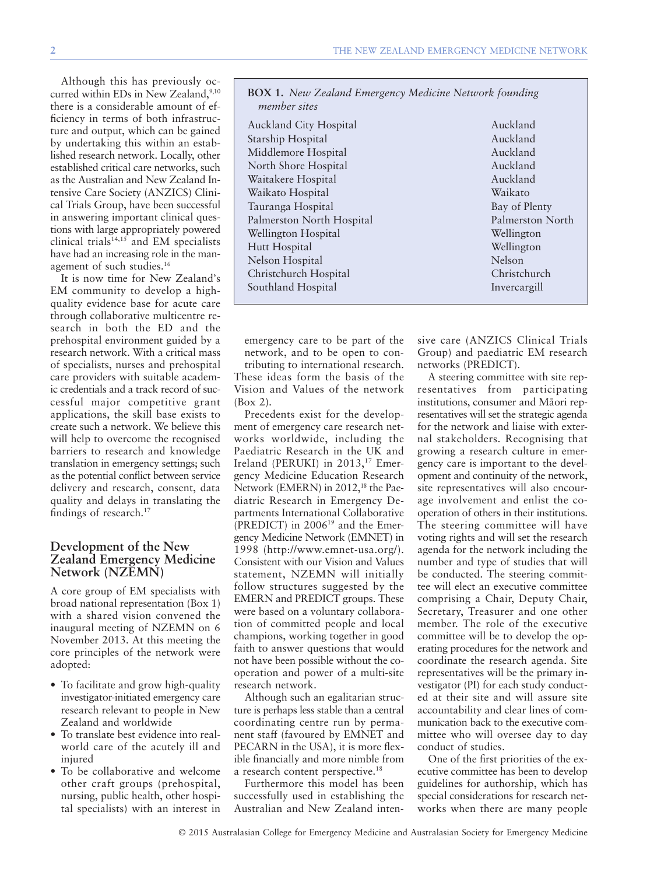Although this has previously occurred within EDs in New Zealand,<sup>9,10</sup> there is a considerable amount of efficiency in terms of both infrastructure and output, which can be gained by undertaking this within an established research network. Locally, other established critical care networks, such as the Australian and New Zealand Intensive Care Society (ANZICS) Clinical Trials Group, have been successful in answering important clinical questions with large appropriately powered clinical trials<sup>14,15</sup> and EM specialists have had an increasing role in the management of such studies.<sup>16</sup>

It is now time for New Zealand's EM community to develop a highquality evidence base for acute care through collaborative multicentre research in both the ED and the prehospital environment guided by a research network. With a critical mass of specialists, nurses and prehospital care providers with suitable academic credentials and a track record of successful major competitive grant applications, the skill base exists to create such a network. We believe this will help to overcome the recognised barriers to research and knowledge translation in emergency settings; such as the potential conflict between service delivery and research, consent, data quality and delays in translating the findings of research.<sup>17</sup>

## **Development of the New Zealand Emergency Medicine Network (NZEMN)**

A core group of EM specialists with broad national representation (Box 1) with a shared vision convened the inaugural meeting of NZEMN on 6 November 2013. At this meeting the core principles of the network were adopted:

- To facilitate and grow high-quality investigator-initiated emergency care research relevant to people in New Zealand and worldwide
- To translate best evidence into realworld care of the acutely ill and injured
- To be collaborative and welcome other craft groups (prehospital, nursing, public health, other hospital specialists) with an interest in

| <b>BOX 1.</b> New Zealand Emergency Medicine Network founding<br><i>member sites</i> |                  |
|--------------------------------------------------------------------------------------|------------------|
| <b>Auckland City Hospital</b>                                                        | Auckland         |
| Starship Hospital                                                                    | Auckland         |
| Middlemore Hospital                                                                  | Auckland         |
| North Shore Hospital                                                                 | Auckland         |
| Waitakere Hospital                                                                   | Auckland         |
| Waikato Hospital                                                                     | Waikato          |
| Tauranga Hospital                                                                    | Bay of Plenty    |
| Palmerston North Hospital                                                            | Palmerston North |
| Wellington Hospital                                                                  | Wellington       |
| Hutt Hospital                                                                        | Wellington       |
| Nelson Hospital                                                                      | Nelson           |
| Christchurch Hospital                                                                | Christchurch     |
| Southland Hospital                                                                   | Invercargill     |
|                                                                                      |                  |

emergency care to be part of the network, and to be open to contributing to international research. These ideas form the basis of the Vision and Values of the network

(Box 2). Precedents exist for the development of emergency care research networks worldwide, including the Paediatric Research in the UK and Ireland (PERUKI) in 2013,<sup>17</sup> Emergency Medicine Education Research Network (EMERN) in 2012,<sup>18</sup> the Paediatric Research in Emergency Departments International Collaborative (PREDICT) in 2006<sup>19</sup> and the Emergency Medicine Network (EMNET) in 1998 (http://www.emnet-usa.org/). Consistent with our Vision and Values statement, NZEMN will initially follow structures suggested by the EMERN and PREDICT groups. These were based on a voluntary collaboration of committed people and local champions, working together in good faith to answer questions that would not have been possible without the cooperation and power of a multi-site research network.

Although such an egalitarian structure is perhaps less stable than a central coordinating centre run by permanent staff (favoured by EMNET and PECARN in the USA), it is more flexible financially and more nimble from a research content perspective.<sup>18</sup>

Furthermore this model has been successfully used in establishing the Australian and New Zealand inten-

sive care (ANZICS Clinical Trials Group) and paediatric EM research networks (PREDICT).

A steering committee with site representatives from participating institutions, consumer and Maori representatives will set the strategic agenda for the network and liaise with external stakeholders. Recognising that growing a research culture in emergency care is important to the development and continuity of the network, site representatives will also encourage involvement and enlist the cooperation of others in their institutions. The steering committee will have voting rights and will set the research agenda for the network including the number and type of studies that will be conducted. The steering committee will elect an executive committee comprising a Chair, Deputy Chair, Secretary, Treasurer and one other member. The role of the executive committee will be to develop the operating procedures for the network and coordinate the research agenda. Site representatives will be the primary investigator (PI) for each study conducted at their site and will assure site accountability and clear lines of communication back to the executive committee who will oversee day to day conduct of studies.

One of the first priorities of the executive committee has been to develop guidelines for authorship, which has special considerations for research networks when there are many people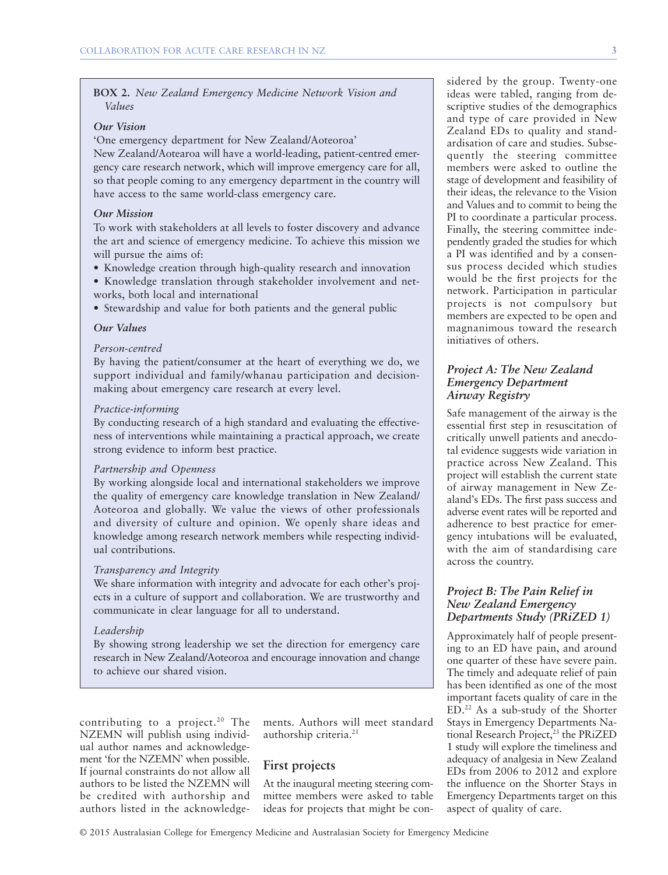**BOX 2.** *New Zealand Emergency Medicine Network Vision and Values*

#### *Our Vision*

'One emergency department for New Zealand/Aoteoroa'

New Zealand/Aotearoa will have a world-leading, patient-centred emergency care research network, which will improve emergency care for all, so that people coming to any emergency department in the country will have access to the same world-class emergency care.

#### *Our Mission*

To work with stakeholders at all levels to foster discovery and advance the art and science of emergency medicine. To achieve this mission we will pursue the aims of:

- Knowledge creation through high-quality research and innovation
- Knowledge translation through stakeholder involvement and networks, both local and international
- Stewardship and value for both patients and the general public

## *Our Values*

#### *Person-centred*

By having the patient/consumer at the heart of everything we do, we support individual and family/whanau participation and decisionmaking about emergency care research at every level.

#### *Practice-informing*

By conducting research of a high standard and evaluating the effectiveness of interventions while maintaining a practical approach, we create strong evidence to inform best practice.

#### *Partnership and Openness*

By working alongside local and international stakeholders we improve the quality of emergency care knowledge translation in New Zealand/ Aoteoroa and globally. We value the views of other professionals and diversity of culture and opinion. We openly share ideas and knowledge among research network members while respecting individual contributions.

#### *Transparency and Integrity*

We share information with integrity and advocate for each other's projects in a culture of support and collaboration. We are trustworthy and communicate in clear language for all to understand.

#### *Leadership*

By showing strong leadership we set the direction for emergency care research in New Zealand/Aoteoroa and encourage innovation and change to achieve our shared vision.

contributing to a project.<sup>20</sup> The NZEMN will publish using individual author names and acknowledgement 'for the NZEMN' when possible. If journal constraints do not allow all authors to be listed the NZEMN will be credited with authorship and authors listed in the acknowledgements. Authors will meet standard authorship criteria.<sup>21</sup>

## **First projects**

At the inaugural meeting steering committee members were asked to table ideas for projects that might be con-

ideas were tabled, ranging from descriptive studies of the demographics and type of care provided in New Zealand EDs to quality and standardisation of care and studies. Subsequently the steering committee members were asked to outline the stage of development and feasibility of their ideas, the relevance to the Vision and Values and to commit to being the PI to coordinate a particular process. Finally, the steering committee independently graded the studies for which a PI was identified and by a consensus process decided which studies would be the first projects for the network. Participation in particular projects is not compulsory but members are expected to be open and magnanimous toward the research initiatives of others.

sidered by the group. Twenty-one

## *Project A: The New Zealand Emergency Department Airway Registry*

Safe management of the airway is the essential first step in resuscitation of critically unwell patients and anecdotal evidence suggests wide variation in practice across New Zealand. This project will establish the current state of airway management in New Zealand's EDs. The first pass success and adverse event rates will be reported and adherence to best practice for emergency intubations will be evaluated, with the aim of standardising care across the country.

#### *Project B: The Pain Relief in New Zealand Emergency Departments Study (PRiZED 1)*

Approximately half of people presenting to an ED have pain, and around one quarter of these have severe pain. The timely and adequate relief of pain has been identified as one of the most important facets quality of care in the ED.22 As a sub-study of the Shorter Stays in Emergency Departments National Research Project,<sup>23</sup> the PRiZED 1 study will explore the timeliness and adequacy of analgesia in New Zealand EDs from 2006 to 2012 and explore the influence on the Shorter Stays in Emergency Departments target on this aspect of quality of care.